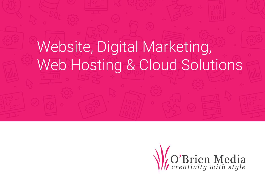# Website, Digital Marketing, Web Hosting & Cloud Solutions

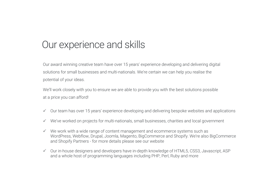### Our experience and skills

Our award winning creative team have over 15 years' experience developing and delivering digital solutions for small businesses and multi-nationals. We're certain we can help you realise the potential of your ideas.

We'll work closely with you to ensure we are able to provide you with the best solutions possible at a price you can afford!

- $\checkmark$  Our team has over 15 years' experience developing and delivering bespoke websites and applications
- $\checkmark$  We've worked on projects for multi-nationals, small businesses, charities and local government
- $\checkmark$  We work with a wide range of content management and ecommerce systems such as WordPress, Webflow, Drupal, Joomla, Magento, BigCommerce and Shopify. We're also BigCommerce and Shopify Partners - for more details please see our website
- $\checkmark$  Our in-house designers and developers have in-depth knowledge of HTML5, CSS3, Javascript, ASP and a whole host of programming languages including PHP, Perl, Ruby and more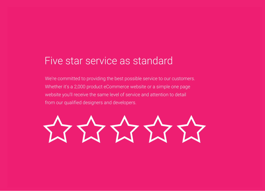### Five star service as standard

We're committed to providing the best possible service to our customers. Whether it's a 2,000 product eCommerce website or a simple one page website you'll receive the same level of service and attention to detail from our qualified designers and developers.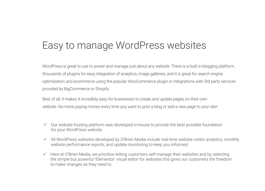## Easy to manage WordPress websites

WordPress is great to use to power and manage just about any website. There is a built in blogging platform, thousands of plugins for easy integration of analytics, image galleries, and it is great for search engine optimisation and ecommerce using the popular WooCommerce plugin or integrations with 3rd party services provided by BigCommerce or Shopify.

Best of all, it makes it incredibly easy for businesses to create and update pages on their own website. No more paying money every time you want to post a blog or add a new page to your site!

- $\checkmark$  Our website hosting platform was developed in-house to provide the best possible foundation for your WordPress website.
- $\checkmark$  All WordPress websites developed by O'Brien Media include real-time website visitor analytics, monthly website performance reports, and update monitoring to keep you informed.
- $\checkmark$  Here at O'Brien Media, we prioritise letting customers self-manage their websites and by selecting the simple but powerful 'Elementor' visual editor for websites this gives our customers the freedom to make changes as they need to.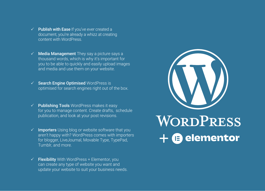- $\checkmark$  Publish with Ease If you've ever created a document, you're already a whizz at creating content with WordPress.
- $\checkmark$  Media Management They say a picture says a thousand words, which is why it's important for you to be able to quickly and easily upload images and media and use them on your website.
- **Search Engine Optimised WordPress is** optimised for search engines right out of the box.
- $\checkmark$  Publishing Tools WordPress makes it easy for you to manage content. Create drafts, schedule publication, and look at your post revisions.
- Importers Using blog or website software that you aren't happy with? WordPress comes with importers for blogger, LiveJournal, Movable Type, TypePad, Tumblr, and more.
- **Flexibility** With WordPress + Elementor, you can create any type of website you want and update your website to suit your business needs.

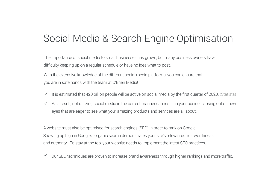## Social Media & Search Engine Optimisation

The importance of social media to small businesses has grown, but many business owners have difficulty keeping up on a regular schedule or have no idea what to post.

With the extensive knowledge of the different social media platforms, you can ensure that you are in safe hands with the team at O'Brien Media!

- $\checkmark$  It is estimated that 420 billion people will be active on social media by the first quarter of 2020. (Statista)
- As a result, not utilizing social media in the correct manner can result in your business losing out on new  $\checkmark$ eyes that are eager to see what your amazing products and services are all about.

A website must also be optimised for search engines (SEO) in order to rank on Google. Showing up high in Google's organic search demonstrates your site's relevance, trustworthiness, and authority. To stay at the top, your website needs to implement the latest SEO practices.

Our SEO techniques are proven to increase brand awareness through higher rankings and more traffic.  $\checkmark$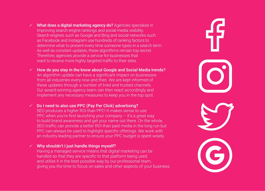- $\checkmark$  What does a digital marketing agency do? Agencies specialise in improving search engine rankings and social media visibility. Search engines such as Google and Bing and social networks such as Facebook and Instagram use hundreds of ranking factors to determine what to present every time someone types in a search term. As well as constant updates, these algorithms remain top-secret. Therefore, agencies provide a service for businesses that want to receive more highly targeted traffic to their sites.
- $\checkmark$  How do you stay in the know about Google and Social Media trends? An algorithm update can have a significant impact on businesses from all industries every now and then. We are kept informed of these updates through a number of tried and trusted channels. Our award-winning agency team can then react accordingly and implement any necessary measures to keep you in the top spot.

 $\checkmark$  Do I need to also use PPC (Pay Per Click) advertising? SEO produces a higher ROI than PPC! It makes sense to use PPC when you're first launching your company  $-$  it's a great way to build brand awareness and get your name out there. On the whole, SEO traffic can provide a better ROI than paid media in the long run but PPC can always be used to highlight specific offerings. We work with an industry leading partner to ensure your PPC budget is spent wisely.

 $\checkmark$  Why shouldn't I just handle things myself? Having a managed service means that digital marketing can be handled so that they are specific to that platform being used and utilise it in the best possible way by our professional team, giving you the time to focus on sales and other aspects of your business.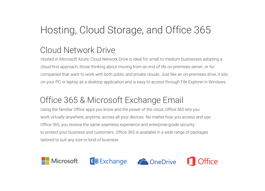# Hosting, Cloud Storage, and Office 365

#### Cloud Network Drive

Hosted in Microsoft Azure, Cloud Network Drive is ideal for small to medium businesses adopting a cloud-first approach, those thinking about moving from an end of life on-premises server, or for companies that want to work with both public and private clouds. Just like an on-premises drive, it sits on your PC or laptop as a desktop application and is easy to access through File Explorer in Windows.

#### Office 365 & Microsoft Exchange Email

Using the familiar Office apps you know and the power of the cloud, Office 365 lets you work virtually anywhere, anytime, across all your devices. No matter how you access and use Office 365, you receive the same seamless experience and enterprise-grade security to protect your business and customers. Office 365 is available in a wide range of packages tailored to suit any size or kind of business.





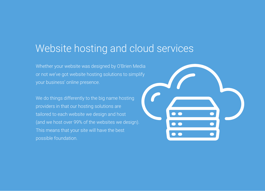#### Website hosting and cloud services

Whether your website was designed by O'Brien Media or not we've got website hosting solutions to simplify your business' online presence.

We do things differently to the big name hosting providers in that our hosting solutions are tailored to each website we design and host (and we host over 99% of the websites we design). This means that your site will have the best possible foundation.

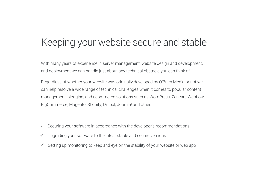### Keeping your website secure and stable

With many years of experience in server management, website design and development, and deployment we can handle just about any technical obstacle you can think of.

Regardless of whether your website was originally developed by O'Brien Media or not we can help resolve a wide range of technical challenges when it comes to popular content management, blogging, and ecommerce solutions such as WordPress, Zencart, Webflow BigCommerce, Magento, Shopify, Drupal, Joomla! and others.

- $\checkmark$  Securing your software in accordance with the developer's recommendations
- $\checkmark$  Upgrading your software to the latest stable and secure versions
- $\checkmark$  Setting up monitoring to keep and eye on the stability of your website or web app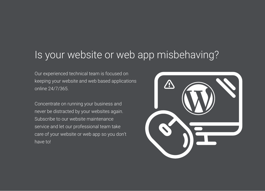## Is your website or web app misbehaving?

Our experienced technical team is focused on keeping your website and web based applications online 24/7/365.

Concentrate on running your business and never be distracted by your websites again. Subscribe to our website maintenance service and let our professional team take care of your website or web app so you don't have to!

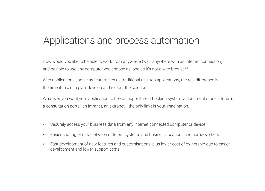## Applications and process automation

How would you like to be able to work from anywhere (well, anywhere with an internet connection) and be able to use any computer you choose as long as it's got a web browser?

Web applications can be as feature rich as traditional desktop applications, the real difference is the time it takes to plan, develop and roll-out the solution.

Whatever you want your application to be - an appointment booking system, a document store, a forum, a consultation portal, an intranet, an extranet... the only limit is your imagination.

- $\checkmark$  Securely access your business data from any internet connected computer or device
- Easier sharing of data between different systems and business locations and home-workers  $\checkmark$
- $\checkmark$  Fast development of new features and customisations, plus lower cost of ownership due to easier development and lower support costs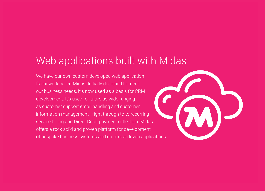## Web applications built with Midas

We have our own custom developed web application framework called Midas. Initially designed to meet our business needs, it's now used as a basis for CRM development. It's used for tasks as wide ranging as customer support email handling and customer information management - right through to to recurring service billing and Direct Debit payment collection. Midas offers a rock solid and proven platform for development of bespoke business systems and database driven applications.

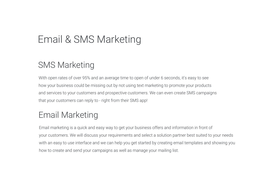# Email & SMS Marketing

#### SMS Marketing

With open rates of over 95% and an average time to open of under 6 seconds, it's easy to see how your business could be missing out by not using text marketing to promote your products and services to your customers and prospective customers. We can even create SMS campaigns that your customers can reply to - right from their SMS app!

#### Email Marketing

Email marketing is a quick and easy way to get your business offers and information in front of your customers. We will discuss your requirements and select a solution partner best suited to your needs with an easy to use interface and we can help you get started by creating email templates and showing you how to create and send your campaigns as well as manage your mailing list.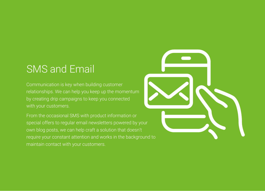# SMS and Email

Communication is key when building customer relationships. We can help you keep up the momentum by creating drip campaigns to keep you connected with your customers.

From the occasional SMS with product information or special offers to regular email newsletters powered by your own blog posts, we can help craft a solution that doesn't require your constant attention and works in the background to maintain contact with your customers.